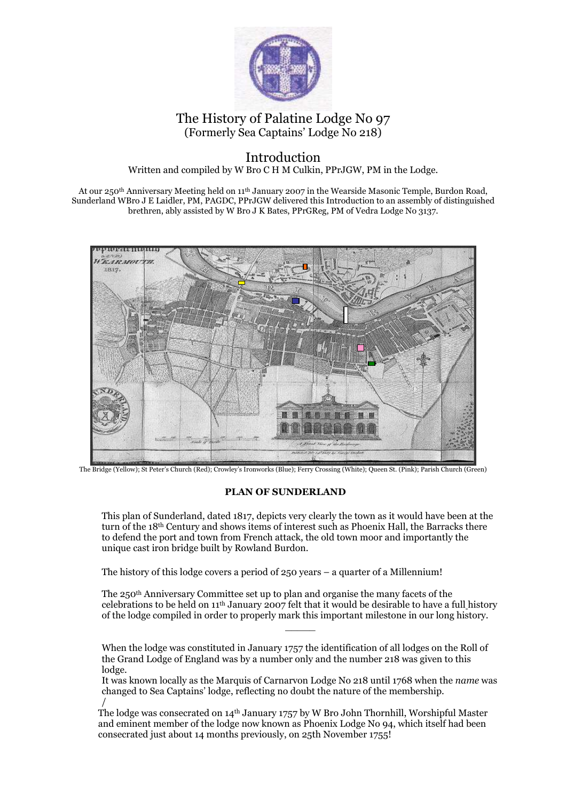

## The History of Palatine Lodge No 97 (Formerly Sea Captains' Lodge No 218)

## Introduction

Written and compiled by W Bro C H M Culkin, PPrJGW, PM in the Lodge.

At our 250th Anniversary Meeting held on 11th January 2007 in the Wearside Masonic Temple, Burdon Road, Sunderland WBro J E Laidler, PM, PAGDC, PPrJGW delivered this Introduction to an assembly of distinguished brethren, ably assisted by W Bro J K Bates, PPrGReg, PM of Vedra Lodge No 3137.



The Bridge (Yellow); St Peter's Church (Red); Crowley's Ironworks (Blue); Ferry Crossing (White); Queen St. (Pink); Parish Church (Green)

## PLAN OF SUNDERLAND

This plan of Sunderland, dated 1817, depicts very clearly the town as it would have been at the turn of the 18th Century and shows items of interest such as Phoenix Hall, the Barracks there to defend the port and town from French attack, the old town moor and importantly the unique cast iron bridge built by Rowland Burdon.

The history of this lodge covers a period of 250 years – a quarter of a Millennium!

The 250th Anniversary Committee set up to plan and organise the many facets of the celebrations to be held on 11th January 2007 felt that it would be desirable to have a full history of the lodge compiled in order to properly mark this important milestone in our long history.

 $\overline{\phantom{a}}$ 

When the lodge was constituted in January 1757 the identification of all lodges on the Roll of the Grand Lodge of England was by a number only and the number 218 was given to this lodge.

It was known locally as the Marquis of Carnarvon Lodge No 218 until 1768 when the name was changed to Sea Captains' lodge, reflecting no doubt the nature of the membership. /

The lodge was consecrated on 14th January 1757 by W Bro John Thornhill, Worshipful Master and eminent member of the lodge now known as Phoenix Lodge No 94, which itself had been consecrated just about 14 months previously, on 25th November 1755!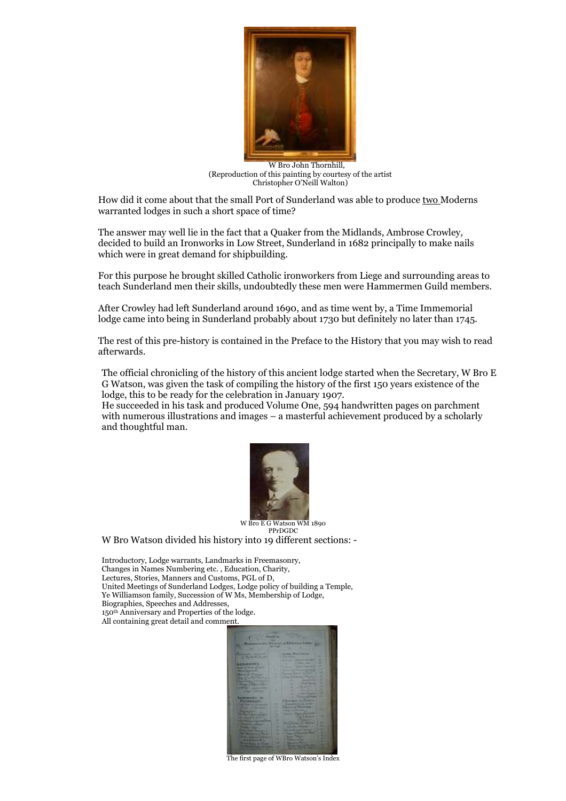

 W Bro John Thornhill, (Reproduction of this painting by courtesy of the artist Christopher O'Neill Walton)

How did it come about that the small Port of Sunderland was able to produce two Moderns warranted lodges in such a short space of time?

The answer may well lie in the fact that a Quaker from the Midlands, Ambrose Crowley, decided to build an Ironworks in Low Street, Sunderland in 1682 principally to make nails which were in great demand for shipbuilding.

For this purpose he brought skilled Catholic ironworkers from Liege and surrounding areas to teach Sunderland men their skills, undoubtedly these men were Hammermen Guild members.

After Crowley had left Sunderland around 1690, and as time went by, a Time Immemorial lodge came into being in Sunderland probably about 1730 but definitely no later than 1745.

The rest of this pre-history is contained in the Preface to the History that you may wish to read afterwards.

The official chronicling of the history of this ancient lodge started when the Secretary, W Bro E G Watson, was given the task of compiling the history of the first 150 years existence of the lodge, this to be ready for the celebration in January 1907.

He succeeded in his task and produced Volume One, 594 handwritten pages on parchment with numerous illustrations and images – a masterful achievement produced by a scholarly and thoughtful man.



W Bro E G Watson WM 1890 PPrDGDC

W Bro Watson divided his history into 19 different sections: -

Introductory, Lodge warrants, Landmarks in Freemasonry, Changes in Names Numbering etc. , Education, Charity, Lectures, Stories, Manners and Customs, PGL of D, United Meetings of Sunderland Lodges, Lodge policy of building a Temple, Ye Williamson family, Succession of W Ms, Membership of Lodge, Biographies, Speeches and Addresses, 150th Anniversary and Properties of the lodge. All containing great detail and comment.



The first page of WBro Watson's Index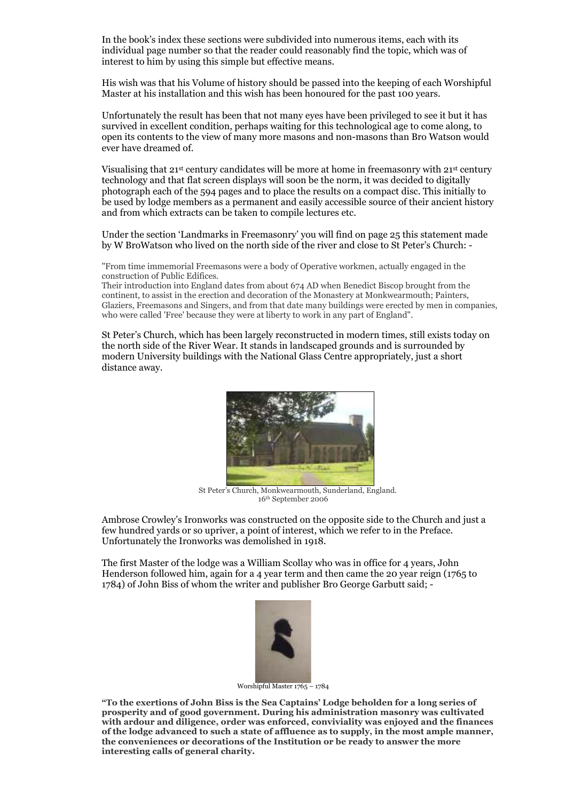In the book's index these sections were subdivided into numerous items, each with its individual page number so that the reader could reasonably find the topic, which was of interest to him by using this simple but effective means.

His wish was that his Volume of history should be passed into the keeping of each Worshipful Master at his installation and this wish has been honoured for the past 100 years.

Unfortunately the result has been that not many eyes have been privileged to see it but it has survived in excellent condition, perhaps waiting for this technological age to come along, to open its contents to the view of many more masons and non-masons than Bro Watson would ever have dreamed of.

Visualising that 21st century candidates will be more at home in freemasonry with 21st century technology and that flat screen displays will soon be the norm, it was decided to digitally photograph each of the 594 pages and to place the results on a compact disc. This initially to be used by lodge members as a permanent and easily accessible source of their ancient history and from which extracts can be taken to compile lectures etc.

Under the section 'Landmarks in Freemasonry' you will find on page 25 this statement made by W BroWatson who lived on the north side of the river and close to St Peter's Church: -

"From time immemorial Freemasons were a body of Operative workmen, actually engaged in the construction of Public Edifices.

Their introduction into England dates from about 674 AD when Benedict Biscop brought from the continent, to assist in the erection and decoration of the Monastery at Monkwearmouth; Painters, Glaziers, Freemasons and Singers, and from that date many buildings were erected by men in companies, who were called 'Free' because they were at liberty to work in any part of England".

St Peter's Church, which has been largely reconstructed in modern times, still exists today on the north side of the River Wear. It stands in landscaped grounds and is surrounded by modern University buildings with the National Glass Centre appropriately, just a short distance away.



 St Peter's Church, Monkwearmouth, Sunderland, England. 16th September 2006

Ambrose Crowley's Ironworks was constructed on the opposite side to the Church and just a few hundred yards or so upriver, a point of interest, which we refer to in the Preface. Unfortunately the Ironworks was demolished in 1918.

The first Master of the lodge was a William Scollay who was in office for 4 years, John Henderson followed him, again for a 4 year term and then came the 20 year reign (1765 to 1784) of John Biss of whom the writer and publisher Bro George Garbutt said; -



Worshipful Master 1765 – 1784

"To the exertions of John Biss is the Sea Captains' Lodge beholden for a long series of prosperity and of good government. During his administration masonry was cultivated with ardour and diligence, order was enforced, conviviality was enjoyed and the finances of the lodge advanced to such a state of affluence as to supply, in the most ample manner, the conveniences or decorations of the Institution or be ready to answer the more interesting calls of general charity.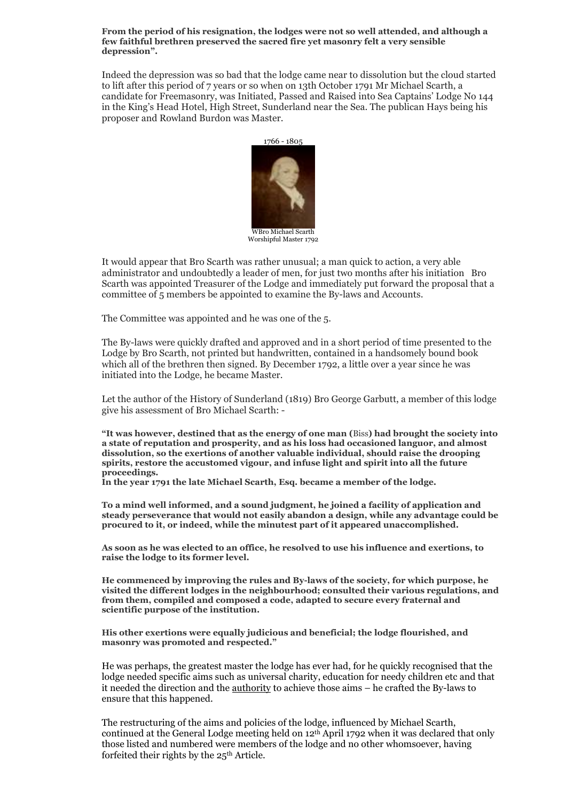From the period of his resignation, the lodges were not so well attended, and although a few faithful brethren preserved the sacred fire yet masonry felt a very sensible depression".

Indeed the depression was so bad that the lodge came near to dissolution but the cloud started to lift after this period of 7 years or so when on 13th October 1791 Mr Michael Scarth, a candidate for Freemasonry, was Initiated, Passed and Raised into Sea Captains' Lodge No 144 in the King's Head Hotel, High Street, Sunderland near the Sea. The publican Hays being his proposer and Rowland Burdon was Master.



It would appear that Bro Scarth was rather unusual; a man quick to action, a very able administrator and undoubtedly a leader of men, for just two months after his initiation Bro Scarth was appointed Treasurer of the Lodge and immediately put forward the proposal that a committee of 5 members be appointed to examine the By-laws and Accounts.

The Committee was appointed and he was one of the 5.

The By-laws were quickly drafted and approved and in a short period of time presented to the Lodge by Bro Scarth, not printed but handwritten, contained in a handsomely bound book which all of the brethren then signed. By December 1792, a little over a year since he was initiated into the Lodge, he became Master.

Let the author of the History of Sunderland (1819) Bro George Garbutt, a member of this lodge give his assessment of Bro Michael Scarth: -

"It was however, destined that as the energy of one man (Biss) had brought the society into a state of reputation and prosperity, and as his loss had occasioned languor, and almost dissolution, so the exertions of another valuable individual, should raise the drooping spirits, restore the accustomed vigour, and infuse light and spirit into all the future proceedings.

In the year 1791 the late Michael Scarth, Esq. became a member of the lodge.

To a mind well informed, and a sound judgment, he joined a facility of application and steady perseverance that would not easily abandon a design, while any advantage could be procured to it, or indeed, while the minutest part of it appeared unaccomplished.

As soon as he was elected to an office, he resolved to use his influence and exertions, to raise the lodge to its former level.

He commenced by improving the rules and By-laws of the society, for which purpose, he visited the different lodges in the neighbourhood; consulted their various regulations, and from them, compiled and composed a code, adapted to secure every fraternal and scientific purpose of the institution.

His other exertions were equally judicious and beneficial; the lodge flourished, and masonry was promoted and respected."

He was perhaps, the greatest master the lodge has ever had, for he quickly recognised that the lodge needed specific aims such as universal charity, education for needy children etc and that it needed the direction and the authority to achieve those aims – he crafted the By-laws to ensure that this happened.

The restructuring of the aims and policies of the lodge, influenced by Michael Scarth, continued at the General Lodge meeting held on 12<sup>th</sup> April 1792 when it was declared that only those listed and numbered were members of the lodge and no other whomsoever, having forfeited their rights by the 25th Article.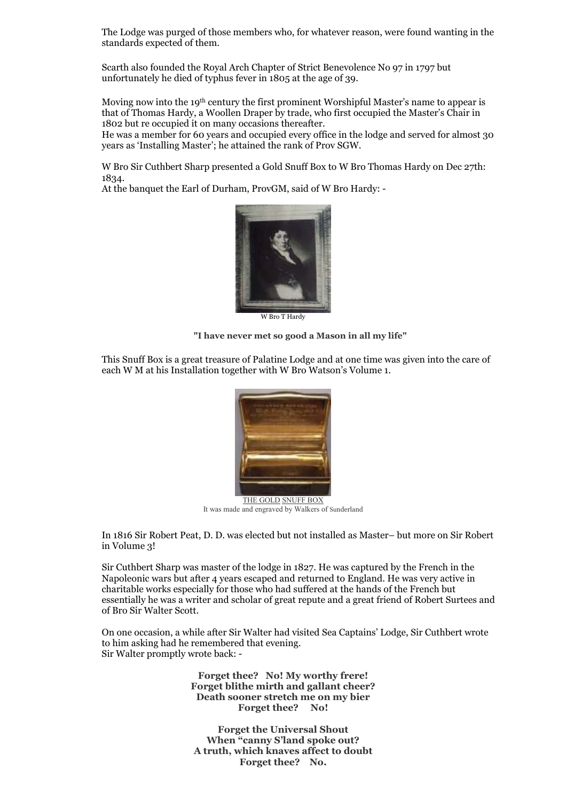The Lodge was purged of those members who, for whatever reason, were found wanting in the standards expected of them.

Scarth also founded the Royal Arch Chapter of Strict Benevolence No 97 in 1797 but unfortunately he died of typhus fever in 1805 at the age of 39.

Moving now into the 19th century the first prominent Worshipful Master's name to appear is that of Thomas Hardy, a Woollen Draper by trade, who first occupied the Master's Chair in 1802 but re occupied it on many occasions thereafter.

He was a member for 60 years and occupied every office in the lodge and served for almost 30 years as 'Installing Master'; he attained the rank of Prov SGW.

W Bro Sir Cuthbert Sharp presented a Gold Snuff Box to W Bro Thomas Hardy on Dec 27th: 1834.

At the banquet the Earl of Durham, ProvGM, said of W Bro Hardy: -



W Bro T Hardy

"I have never met so good a Mason in all my life"

This Snuff Box is a great treasure of Palatine Lodge and at one time was given into the care of each W M at his Installation together with W Bro Watson's Volume 1.



It was made and engraved by Walkers of Sunderland

In 1816 Sir Robert Peat, D. D. was elected but not installed as Master– but more on Sir Robert in Volume 3!

Sir Cuthbert Sharp was master of the lodge in 1827. He was captured by the French in the Napoleonic wars but after 4 years escaped and returned to England. He was very active in charitable works especially for those who had suffered at the hands of the French but essentially he was a writer and scholar of great repute and a great friend of Robert Surtees and of Bro Sir Walter Scott.

On one occasion, a while after Sir Walter had visited Sea Captains' Lodge, Sir Cuthbert wrote to him asking had he remembered that evening. Sir Walter promptly wrote back: -

> Forget thee? No! My worthy frere! Forget blithe mirth and gallant cheer? Death sooner stretch me on my bier Forget thee? No!

Forget the Universal Shout When "canny S'land spoke out? A truth, which knaves affect to doubt Forget thee? No.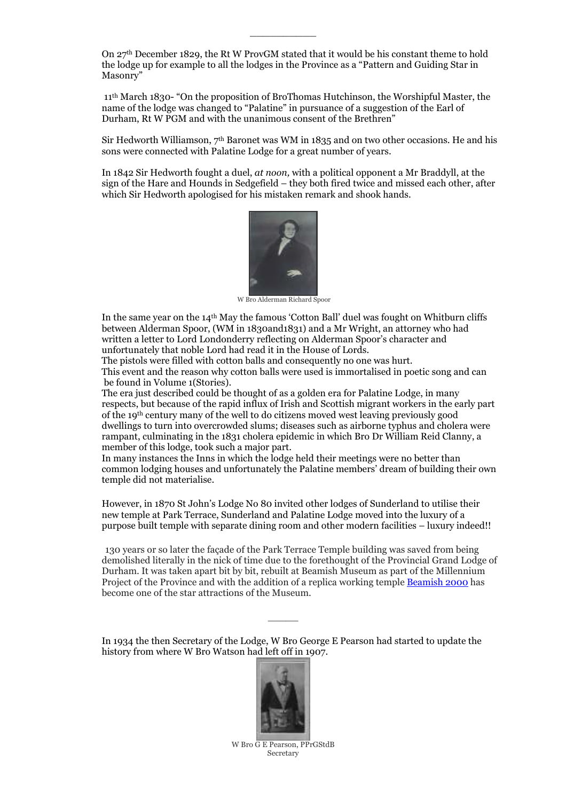On 27th December 1829, the Rt W ProvGM stated that it would be his constant theme to hold the lodge up for example to all the lodges in the Province as a "Pattern and Guiding Star in Masonry"

 $\overline{\phantom{a}}$  , where  $\overline{\phantom{a}}$ 

 11th March 1830- "On the proposition of BroThomas Hutchinson, the Worshipful Master, the name of the lodge was changed to "Palatine" in pursuance of a suggestion of the Earl of Durham, Rt W PGM and with the unanimous consent of the Brethren"

Sir Hedworth Williamson,  $7<sup>th</sup>$  Baronet was WM in 1835 and on two other occasions. He and his sons were connected with Palatine Lodge for a great number of years.

In 1842 Sir Hedworth fought a duel, at noon, with a political opponent a Mr Braddyll, at the sign of the Hare and Hounds in Sedgefield – they both fired twice and missed each other, after which Sir Hedworth apologised for his mistaken remark and shook hands.



W Bro Alderman Richard Spoor

In the same year on the 14th May the famous 'Cotton Ball' duel was fought on Whitburn cliffs between Alderman Spoor, (WM in 1830and1831) and a Mr Wright, an attorney who had written a letter to Lord Londonderry reflecting on Alderman Spoor's character and unfortunately that noble Lord had read it in the House of Lords.

 The pistols were filled with cotton balls and consequently no one was hurt. This event and the reason why cotton balls were used is immortalised in poetic song and can be found in Volume 1(Stories).

The era just described could be thought of as a golden era for Palatine Lodge, in many respects, but because of the rapid influx of Irish and Scottish migrant workers in the early part of the 19th century many of the well to do citizens moved west leaving previously good dwellings to turn into overcrowded slums; diseases such as airborne typhus and cholera were rampant, culminating in the 1831 cholera epidemic in which Bro Dr William Reid Clanny, a member of this lodge, took such a major part.

In many instances the Inns in which the lodge held their meetings were no better than common lodging houses and unfortunately the Palatine members' dream of building their own temple did not materialise.

However, in 1870 St John's Lodge No 80 invited other lodges of Sunderland to utilise their new temple at Park Terrace, Sunderland and Palatine Lodge moved into the luxury of a purpose built temple with separate dining room and other modern facilities – luxury indeed!!

130 years or so later the façade of the Park Terrace Temple building was saved from being demolished literally in the nick of time due to the forethought of the Provincial Grand Lodge of Durham. It was taken apart bit by bit, rebuilt at Beamish Museum as part of the Millennium Project of the Province and with the addition of a replica working temple Beamish 2000 has become one of the star attractions of the Museum.

In 1934 the then Secretary of the Lodge, W Bro George E Pearson had started to update the history from where W Bro Watson had left off in 1907.

 $\overline{\phantom{a}}$ 



W Bro G E Pearson, PPrGStdB Secretary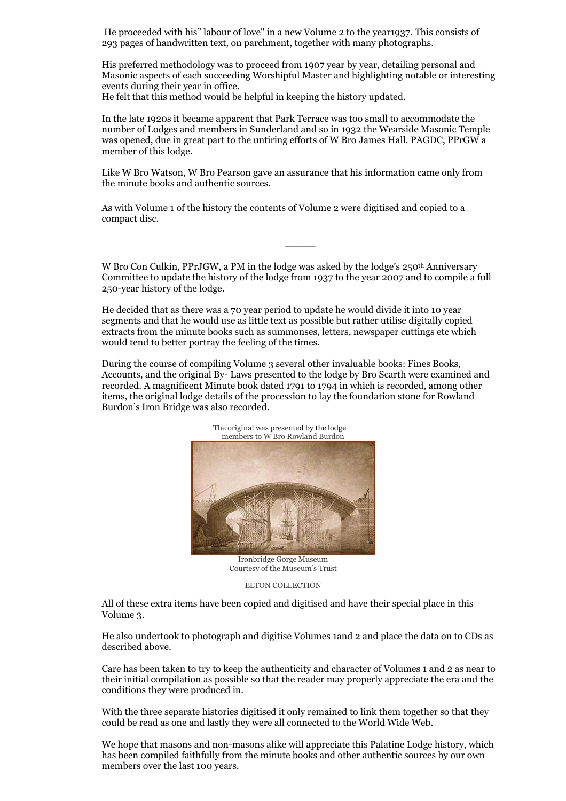He proceeded with his" labour of love" in a new Volume 2 to the year1937. This consists of 293 pages of handwritten text, on parchment, together with many photographs.

His preferred methodology was to proceed from 1907 year by year, detailing personal and Masonic aspects of each succeeding Worshipful Master and highlighting notable or interesting events during their year in office.

He felt that this method would be helpful in keeping the history updated.

In the late 1920s it became apparent that Park Terrace was too small to accommodate the number of Lodges and members in Sunderland and so in 1932 the Wearside Masonic Temple was opened, due in great part to the untiring efforts of W Bro James Hall. PAGDC, PPrGW a member of this lodge.

Like W Bro Watson, W Bro Pearson gave an assurance that his information came only from the minute books and authentic sources.

As with Volume 1 of the history the contents of Volume 2 were digitised and copied to a compact disc.

W Bro Con Culkin, PPrJGW, a PM in the lodge was asked by the lodge's 250<sup>th</sup> Anniversary Committee to update the history of the lodge from 1937 to the year 2007 and to compile a full 250-year history of the lodge.

 $\overline{\phantom{a}}$ 

He decided that as there was a 70 year period to update he would divide it into 10 year segments and that he would use as little text as possible but rather utilise digitally copied extracts from the minute books such as summonses, letters, newspaper cuttings etc which would tend to better portray the feeling of the times.

During the course of compiling Volume 3 several other invaluable books: Fines Books, Accounts, and the original By- Laws presented to the lodge by Bro Scarth were examined and recorded. A magnificent Minute book dated 1791 to 1794 in which is recorded, among other items, the original lodge details of the procession to lay the foundation stone for Rowland Burdon's Iron Bridge was also recorded.



The original was presented by the lodge

Ironbridge Gorge Museum Courtesy of the Museum's Trust

ELTON COLLECTION

All of these extra items have been copied and digitised and have their special place in this Volume 3.

He also undertook to photograph and digitise Volumes 1and 2 and place the data on to CDs as described above.

Care has been taken to try to keep the authenticity and character of Volumes 1 and 2 as near to their initial compilation as possible so that the reader may properly appreciate the era and the conditions they were produced in.

With the three separate histories digitised it only remained to link them together so that they could be read as one and lastly they were all connected to the World Wide Web.

We hope that masons and non-masons alike will appreciate this Palatine Lodge history, which has been compiled faithfully from the minute books and other authentic sources by our own members over the last 100 years.